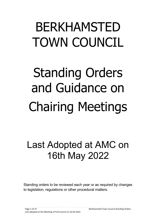## BERKHAMSTED TOWN COUNCIL

# Standing Orders and Guidance on Chairing Meetings

## Last Adopted at AMC on 16th May 2022

Standing orders to be reviewed each year or as required by changes to legislation, regulations or other procedural matters.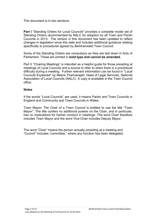This document is in two sections:

**Part I** "Standing Orders for Local Councils" provides a complete model set of Standing Orders recommended by NALC for adoption by all Town and Parish Councils in 2013. The version in this document has been updated to reflect changes in legislation since this date and includes additional guidance relating specifically to procedures agreed by Berkhamsted Town Council.

Some of the Standing Orders are compulsory as they are laid down in Acts of Parliament. These are printed in **bold type and cannot be amended.**

Part II "Chairing Meetings" is intended as a helpful guide for those presiding at meetings of Local Councils and a source to refer to when there is a procedural difficulty during a meeting. Further relevant information can be found in "Local Councils Explained" by Meera Tharmarajah, Head of Legal Services, National Association of Local Councils (NALC). A copy is available in the Town Council office.

## **Notes**

If the words "Local Councils" are used, it means Parish and Town Councils in England and Community and Town Councils in Wales.

Town Mayor: The Chair of a Town Council is entitled to use the title "Town Mayor". The title confers no additional powers on the Chair, and in particular, has no implications for his/her conduct in meetings. The word Chair therefore includes Town Mayor and the word Vice-Chair includes Deputy Mayor.

The word "Chair" means the person actually presiding at a meeting and "Council" includes "committee," where any function has been delegated.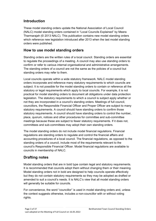## <span id="page-2-0"></span>**Introduction**

These model standing orders update the National Association of Local Council (NALC) model standing orders contained in "Local Councils Explained" by Meera Tharmarajah (© 2013 NALC). This publication contains new model standing orders which reference new legislation introduced after 2013 when the last model standing orders were published.

## **How to use model standing orders**

Standing orders are the written rules of a local council. Standing orders are essential to regulate the proceedings of a meeting. A council may also use standing orders to confirm or refer to various internal organisational and administrative arrangements. The standing orders of a council are not the same as the policies of a council but standing orders may refer to them.

Local councils operate within a wide statutory framework. NALC model standing orders incorporate and reference many statutory requirements to which councils are subject. It is not possible for the model standing orders to contain or reference all the statutory or legal requirements which apply to local councils. For example, it is not practical for model standing orders to document all obligations under data protection legislation. The statutory requirements to which a council is subject apply whether or not they are incorporated in a council's standing orders. Meetings of full council, councillors, the Responsible Financial Officer and Proper Officer are subject to many statutory requirements. A council should have standing orders to confirm those statutory requirements. A council should have standing orders to control the number, place, quorum, notices and other procedures for committee and sub-committee meetings because these are subject to fewer statutory requirements. If it does not, committees and sub-committees may adopt their own standing orders.

The model standing orders do not include model financial regulations. Financial regulations are standing orders to regulate and control the financial affairs and accounting procedures of a local council. The financial regulations, as opposed to the standing orders of a council, include most of the requirements relevant to the council's Responsible Financial Officer. Model financial regulations are available to councils in membership of NALC.

## **Drafting notes**

Model standing orders that are in bold type contain legal and statutory requirements. It is recommended that councils adopt them without changing them or their meaning. Model standing orders not in bold are designed to help councils operate effectively but they do not contain statutory requirements so they may be adopted as drafted or amended to suit a council's needs. It is NALC's view that all model standing orders will generally be suitable for councils.

For convenience, the word "councillor" is used in model standing orders and, unless the context suggests otherwise, includes a non-councillor with or without voting rights.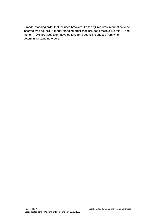A model standing order that includes brackets like this '()' requires information to be inserted by a council. A model standing order that includes brackets like this '[]' and the term 'OR' provides alternative options for a council to choose from when determining standing orders.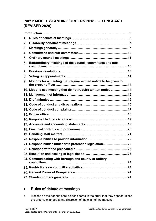## **Part I: MODEL STANDING ORDERS 2018 FOR ENGLAND (REVISED 2020)**

| 1. |                                                                  |  |
|----|------------------------------------------------------------------|--|
| 2. |                                                                  |  |
| 3. |                                                                  |  |
| 4. |                                                                  |  |
| 5. |                                                                  |  |
| 6. | Extraordinary meetings of the council, committees and sub-       |  |
| 7. |                                                                  |  |
| 8. |                                                                  |  |
| 9. | Motions for a meeting that require written notice to be given to |  |
|    | 10. Motions at a meeting that do not require written notice 14   |  |
|    |                                                                  |  |
|    |                                                                  |  |
|    |                                                                  |  |
|    |                                                                  |  |
|    |                                                                  |  |
|    |                                                                  |  |
|    |                                                                  |  |
|    |                                                                  |  |
|    |                                                                  |  |
|    |                                                                  |  |
|    | 21. Responsibilities under data protection legislation22         |  |
|    |                                                                  |  |
|    |                                                                  |  |
|    | 24. Communicating with borough and county or unitary             |  |
|    |                                                                  |  |
|    |                                                                  |  |
|    |                                                                  |  |

#### <span id="page-4-0"></span>**Rules of debate at meetings**  $1<sub>1</sub>$

a Motions on the agenda shall be considered in the order that they appear unless the order is changed at the discretion of the chair of the meeting.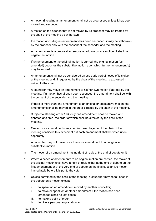- b A motion (including an amendment) shall not be progressed unless it has been moved and seconded.
- c A motion on the agenda that is not moved by its proposer may be treated by the chair of the meeting as withdrawn.
- d If a motion (including an amendment) has been seconded, it may be withdrawn by the proposer only with the consent of the seconder and the meeting.
- e An amendment is a proposal to remove or add words to a motion. It shall not negate the motion.
- f If an amendment to the original motion is carried, the original motion (as amended) becomes the substantive motion upon which further amendment(s) may be moved.
- g An amendment shall not be considered unless early verbal notice of it is given at the meeting and, if requested by the chair of the meeting, is expressed in writing to the chair.
- h A councillor may move an amendment to his/her own motion if agreed by the meeting. If a motion has already been seconded, the amendment shall be with the consent of the seconder and the meeting.
- i If there is more than one amendment to an original or substantive motion, the amendments shall be moved in the order directed by the chair of the meeting.
- j Subject to standing order 1(k), only one amendment shall be moved and debated at a time, the order of which shall be directed by the chair of the meeting.
- k One or more amendments may be discussed together if the chair of the meeting considers this expedient but each amendment shall be voted upon separately.
- l A councillor may not move more than one amendment to an original or substantive motion.
- m The mover of an amendment has no right of reply at the end of debate on it.
- n Where a series of amendments to an original motion are carried, the mover of the original motion shall have a right of reply either at the end of debate on the first amendment or at the very end of debate on the final substantive motion immediately before it is put to the vote.
- o Unless permitted by the chair of the meeting, a councillor may speak once in the debate on a motion except:
	- i. to speak on an amendment moved by another councillor;
	- ii. to move or speak on another amendment if the motion has been amended since he last spoke;
	- iii. to make a point of order;
	- iv. to give a personal explanation; or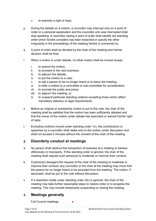- v. to exercise a right of reply.
- p During the debate on a motion, a councillor may interrupt only on a point of order or a personal explanation and the councillor who was interrupted shall stop speaking. A councillor raising a point of order shall identify the standing order which he/she considers has been breached or specify the other irregularity in the proceedings of the meeting he/she is concerned by.
- q A point of order shall be decided by the chair of the meeting and his/her decision shall be final.
- r When a motion is under debate, no other motion shall be moved except:
	- i. to amend the motion;
	- ii. to proceed to the next business;
	- iii. to adjourn the debate;
	- iv. to put the motion to a vote;
	- v. to ask a person to be no longer heard or to leave the meeting;
	- vi. to refer a motion to a committee or sub-committee for consideration;
	- vii. to exclude the public and press;
	- viii. to adjourn the meeting; or
	- ix. to suspend particular standing order(s) excepting those which reflect mandatory statutory or legal requirements.
- s Before an original or substantive motion is put to the vote, the chair of the meeting shall be satisfied that the motion has been sufficiently debated and that the mover of the motion under debate has exercised or waived his/her right of reply.
- t Excluding motions moved under standing order 1(r), the contributions or speeches by a councillor shall relate only to the motion under discussion and shall not exceed 5 minutes without the consent of the chair of the meeting.

#### <span id="page-6-0"></span> $2.$ **Disorderly conduct at meetings**

- a No person shall obstruct the transaction of business at a meeting or behave offensively or improperly. If this standing order is ignored, the chair of the meeting shall request such person(s) to moderate or improve their conduct.
- b If person(s) disregard the request of the chair of the meeting to moderate or improve their conduct, any councillor or the chair of the meeting may move that the person be no longer heard or be excluded from the meeting. The motion, if seconded, shall be put to the vote without discussion.
- c If a resolution made under standing order 2(b) is ignored, the chair of the meeting may take further reasonable steps to restore order or to progress the meeting. This may include temporarily suspending or closing the meeting.

#### <span id="page-6-1"></span> $3<sub>1</sub>$ **Meetings generally**

Full Council meetings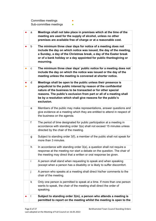Committee meetings **●**  $Sub$ -committee meetings  $\bullet$ 

|           | a | Meetings shall not take place in premises which at the time of the<br>meeting are used for the supply of alcohol, unless no other<br>premises are available free of charge or at a reasonable cost.                                                                                                                                                    |
|-----------|---|--------------------------------------------------------------------------------------------------------------------------------------------------------------------------------------------------------------------------------------------------------------------------------------------------------------------------------------------------------|
|           | b | The minimum three clear days for notice of a meeting does not<br>include the day on which notice was issued, the day of the meeting,<br>a Sunday, a day of the Christmas break, a day of the Easter break<br>or of a bank holiday or a day appointed for public thanksgiving or<br>mourning.                                                           |
| $\bullet$ | С | The minimum three clear days' public notice for a meeting does not<br>include the day on which the notice was issued or the day of the<br>meeting unless the meeting is convened at shorter notice.                                                                                                                                                    |
|           | d | Meetings shall be open to the public unless their presence is<br>prejudicial to the public interest by reason of the confidential<br>nature of the business to be transacted or for other special<br>reasons. The public's exclusion from part or all of a meeting shall<br>be by a resolution which shall give reasons for the public's<br>exclusion. |
|           | е | Members of the public may make representations, answer questions and<br>give evidence at a meeting which they are entitled to attend in respect of<br>the business on the agenda.                                                                                                                                                                      |
|           | f | The period of time designated for public participation at a meeting in<br>accordance with standing order 3(e) shall not exceed 15 minutes unless<br>directed by the chair of the meeting.                                                                                                                                                              |
|           | g | Subject to standing order 3(f), a member of the public shall not speak for<br>more than 3 minutes.                                                                                                                                                                                                                                                     |
|           | h | In accordance with standing order 3(e), a question shall not require a<br>response at the meeting nor start a debate on the question. The chair of<br>the meeting may direct that a written or oral response be given.                                                                                                                                 |
|           | Ť | A person shall stand when requesting to speak and when speaking<br>(except when a person has a disability or is likely to suffer discomfort.                                                                                                                                                                                                           |
|           | j | A person who speaks at a meeting shall direct his/her comments to the<br>chair of the meeting.                                                                                                                                                                                                                                                         |
|           | k | Only one person is permitted to speak at a time. If more than one person<br>wants to speak, the chair of the meeting shall direct the order of<br>speaking.                                                                                                                                                                                            |
|           |   | Subject to standing order 3(m), a person who attends a meeting is<br>permitted to report on the meeting whilst the meeting is open to the                                                                                                                                                                                                              |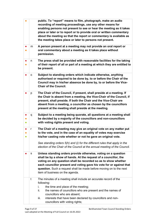| $\bullet$              |             | public. To "report" means to film, photograph, make an audio<br>recording of meeting proceedings, use any other means for<br>enabling persons not present to see or hear the meeting as it takes<br>place or later or to report or to provide oral or written commentary<br>about the meeting so that the report or commentary is available as<br>the meeting takes place or later to persons not present. |
|------------------------|-------------|------------------------------------------------------------------------------------------------------------------------------------------------------------------------------------------------------------------------------------------------------------------------------------------------------------------------------------------------------------------------------------------------------------|
|                        | m           | A person present at a meeting may not provide an oral report or<br>oral commentary about a meeting as it takes place without<br>permission.                                                                                                                                                                                                                                                                |
| $\bullet$              | n           | The press shall be provided with reasonable facilities for the taking<br>of their report of all or part of a meeting at which they are entitled to<br>be present.                                                                                                                                                                                                                                          |
|                        | o           | Subject to standing orders which indicate otherwise, anything<br>authorised or required to be done by, to or before the Chair of the<br>Council may in his/her absence be done by, to or before the Vice-<br><b>Chair of the Council.</b>                                                                                                                                                                  |
|                        | p           | The Chair of the Council, if present, shall preside at a meeting. If<br>the Chair is absent from a meeting, the Vice-Chair of the Council, if<br>present, shall preside. If both the Chair and the Vice-Chair are<br>absent from a meeting, a councillor as chosen by the councillors<br>present at the meeting shall preside at the meeting.                                                              |
| $\bullet$<br>$\bullet$ | q           | Subject to a meeting being quorate, all questions at a meeting shall<br>be decided by a majority of the councillors and non-councillors<br>with voting rights present and voting.                                                                                                                                                                                                                          |
| $\bullet$              | $\mathsf r$ | The Chair of a meeting may give an original vote on any matter put<br>to the vote, and in the case of an equality of votes may exercise<br>his/her casting vote whether or not he gave an original vote.<br>See standing orders 5(h) and (i) for the different rules that apply in the<br>election of the Chair of the Council at the annual meeting of the Council.                                       |
|                        | s           | Unless standing orders provide otherwise, voting on a question<br>shall be by a show of hands. At the request of a councillor, the<br>voting on any question shall be recorded so as to show whether<br>each councillor present and voting gave his vote for or against that<br>question. Such a request shall be made before moving on to the next<br>item of business on the agenda.                     |
|                        | t           | The minutes of a meeting shall include an accurate record of the<br>following:<br>i.<br>the time and place of the meeting;<br>ii.<br>the names of councillors who are present and the names of<br>councillors who are absent;<br>iii.<br>interests that have been declared by councillors and non-<br>councillors with voting rights;                                                                      |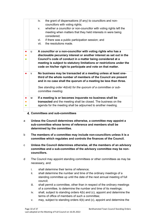|   | iv.<br>the grant of dispensations (if any) to councillors and non-<br>councillors with voting rights;                                                                                                                                                                                                                                          |
|---|------------------------------------------------------------------------------------------------------------------------------------------------------------------------------------------------------------------------------------------------------------------------------------------------------------------------------------------------|
|   | whether a councillor or non-councillor with voting rights left the<br>V.<br>meeting when matters that they held interests in were being<br>considered;                                                                                                                                                                                         |
|   | vi.<br>if there was a public participation session; and                                                                                                                                                                                                                                                                                        |
|   | the resolutions made.<br>vii.                                                                                                                                                                                                                                                                                                                  |
| u | A councillor or a non-councillor with voting rights who has a<br>disclosable pecuniary interest or another interest as set out in the<br>Council's code of conduct in a matter being considered at a<br>meeting is subject to statutory limitations or restrictions under the<br>code on his/her right to participate and vote on that matter. |
| v | No business may be transacted at a meeting unless at least one-<br>third of the whole number of members of the Council are present<br>and in no case shall the quorum of a meeting be less than three.<br>See standing order 4d(viii) for the quorum of a committee or sub-<br>committee meeting.                                              |
| w | If a meeting is or becomes inquorate no business shall be<br>transacted and the meeting shall be closed. The business on the<br>agenda for the meeting shall be adjourned to another meeting.                                                                                                                                                  |
|   |                                                                                                                                                                                                                                                                                                                                                |

## <span id="page-9-0"></span>**Committees and sub-committees**

- a **Unless the Council determines otherwise, a committee may appoint a sub-committee whose terms of reference and members shall be determined by the committee.**
- b **The members of a committee may include non-councillors unless it is a committee which regulates and controls the finances of the Council.**
- c **Unless the Council determines otherwise, all the members of an advisory committee and a sub-committee of the advisory committee may be noncouncillors.**
- d The Council may appoint standing committees or other committees as may be necessary, and:
	- i. shall determine their terms of reference;
	- ii. shall determine the number and time of the ordinary meetings of a standing committee up until the date of the next annual meeting of full council;
	- iii. shall permit a committee, other than in respect of the ordinary meetings of a committee, to determine the number and time of its meetings;
	- iv. shall, subject to standing orders 4(b) and (c), appoint and determine the terms of office of members of such a committee;
	- v. may, subject to standing orders 4(b) and (c), appoint and determine the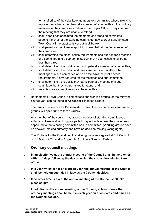terms of office of the substitute members to a committee whose role is to replace the ordinary members at a meeting of a committee if the ordinary members of the committee confirm to the Proper Officer 1 days before the meeting that they are unable to attend;

- vi. shall, after it has appointed the members of a standing committee, appoint the chair of the standing committee, however, at Berkhamsted Town Council the practice is set out in vii below;
- vii. shall permit a committee to appoint its own chair at the first meeting of the committee;
- viii. shall determine the place, notice requirements and quorum for a meeting of a committee and a sub-committee which, in both cases, shall be no less than three;
- ix. shall determine if the public may participate at a meeting of a committee;
- x. shall determine if the public and press are permitted to attend the meetings of a sub-committee and also the advance public notice requirements, if any, required for the meetings of a sub-committee;
- xi. shall determine if the public may participate at a meeting of a subcommittee that they are permitted to attend; and
- xii. may dissolve a committee or a sub-committee.
- e Berkhamsted Town Council's committees and working groups for the relevant council year can be found in **Appendix 1** to these Orders.
- f The terms of reference for Berkhamsted Town Council committees and working groups is **Appendix 2** to these Orders.
- g Any member of the council may attend meetings of standing committees or sub-committees and working groups but may not vote unless they have been appointed to that standing committee or sub-committee. (Working groups have no decision-making authority and have no decision-making voting rights).
- h The Protocol for the Operation of Working groups was agreed at Full Council on 16 March 2020 and is **Appendix 6** to these Standing Orders.

#### <span id="page-10-0"></span>**Ordinary council meetings**  5.

- a **In an election year, the annual meeting of the Council shall be held on or within 14 days following the day on which the councillors elected take office.**
- b **In a year which is not an election year, the annual meeting of the Council shall be held on such day in May as the Council decides.**
- c **If no other time is fixed, the annual meeting of the Council shall take place at 6pm.**
- d **In addition to the annual meeting of the Council, at least three other ordinary meetings shall be held in each year on such dates and times as the Council decides.**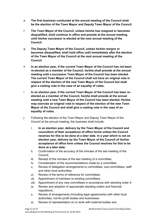- e **The first business conducted at the annual meeting of the Council shall be the election of the Town Mayor and Deputy Town Mayor of the Council.**
- f **The Town Mayor of the Council, unless he/she has resigned or becomes disqualified, shall continue in office and preside at the annual meeting until his/her successor is elected at the next annual meeting of the Council.**
- g **The Deputy Town Mayor of the Council, unless he/she resigns or becomes disqualified, shall hold office until immediately after the election of the Town Mayor of the Council at the next annual meeting of the Council.**
- h **In an election year, if the current Town Mayor of the Council has not been re-elected as a member of the Council, he/she shall preside at the annual meeting until a successor Town Mayor of the Council has been elected. The current Town Mayor of the Council shall not have an original vote in respect of the election of the new Town Mayor of the Council but shall give a casting vote in the case of an equality of votes.**
- i **In an election year, if the current Town Mayor of the Council has been reelected as a member of the Council, he/she shall preside at the annual meeting until a new Town Mayor of the Council has been elected. He/she may exercise an original vote in respect of the election of the new Town Mayor of the Council and shall give a casting vote in the case of an equality of votes.**
- j Following the election of the Town Mayor and Deputy Town Mayor of the Council at the annual meeting, the business shall include:
	- i. **In an election year, delivery by the Town Mayor of the Council and councillors of their acceptance of office forms unless the Council resolves for this to be done at a later date. In a year which is not an election year, delivery by the Town Mayor of the Council of his/her acceptance of office form unless the Council resolves for this to be done at a later date;**
	- ii. Confirmation of the accuracy of the minutes of the last meeting of the Council;
	- iii. Receipt of the minutes of the last meeting of a committee;
	- iv. Consideration of the recommendations made by a committee;
	- v. Review of delegation arrangements to committees, sub-committees, staff and other local authorities;
	- vi. Review of the terms of reference for committees;
	- vii. Appointment of members to existing committees;
	- viii. Appointment of any new committees in accordance with standing order 4;
	- ix. Review and adoption of appropriate standing orders and financial regulations;
	- x. Review of arrangements (including legal agreements) with other local authorities, not-for-profit bodies and businesses.
	- xi. Review of representation on or work with external bodies and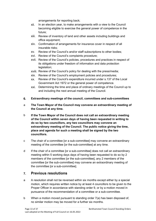arrangements for reporting back;

- xii. In an election year, to make arrangements with a view to the Council becoming eligible to exercise the general power of competence in the future;
- xiii. Review of inventory of land and other assets including buildings and office equipment;
- xiv. Confirmation of arrangements for insurance cover in respect of all insurable risks;
- xv. Review of the Council's and/or staff subscriptions to other bodies;
- xvi. Review of the Council's complaints procedure;
- xvii. Review of the Council's policies, procedures and practices in respect of its obligations under freedom of information and data protection legislation;
- xviii. Review of the Council's policy for dealing with the press/media;
- xix. Review of the Council's employment policies and procedures;
- xx. Review of the Council's expenditure incurred under s.137 of the Local Government Act 1972 or the general power of competence.
- xxi. Determining the time and place of ordinary meetings of the Council up to and including the next annual meeting of the Council.
- <span id="page-12-0"></span>6. **Extraordinary meetings of the council, committees and sub-committees**
- a **The Town Mayor of the Council may convene an extraordinary meeting of the Council at any time.**
- b **If the Town Mayor of the Council does not call an extraordinary meeting of the Council within seven days of having been requested in writing to do so by two councillors, any two councillors may convene an extraordinary meeting of the Council. The public notice giving the time, place and agenda for such a meeting shall be signed by the two councillors.**
- c The chair of a committee [or a sub-committee] may convene an extraordinary meeting of the committee [or the sub-committee] at any time.
- d If the chair of a committee [or a sub-committee] does not call an extraordinary meeting within 5 working days days of having been requested to do so by 2 members of the committee [or the sub-committee], any 2 members of the committee [or the sub-committee] may convene an extraordinary meeting of the committee [or a sub-committee].

#### <span id="page-12-1"></span>**Previous resolutions**  $\overline{7}$ .

- a A resolution shall not be reversed within six months except either by a special motion, which requires written notice by at least 4 councillors to be given to the Proper Officer in accordance with standing order 9, or by a motion moved in pursuance of the recommendation of a committee or a sub-committee.
- b When a motion moved pursuant to standing order 7(a) has been disposed of, no similar motion may be moved for a further six months.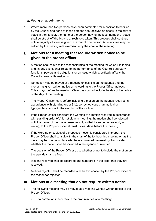## <span id="page-13-0"></span>**Voting on appointments**

a Where more than two persons have been nominated for a position to be filled by the Council and none of those persons has received an absolute majority of votes in their favour, the name of the person having the least number of votes shall be struck off the list and a fresh vote taken. This process shall continue until a majority of votes is given in favour of one person. A tie in votes may be settled by the casting vote exercisable by the chair of the meeting.

#### <span id="page-13-1"></span> $9<sub>-</sub>$ **Motions for a meeting that require written notice to be given to the proper officer**

- a A motion shall relate to the responsibilities of the meeting for which it is tabled and, in any event, shall relate to the performance of the Council's statutory functions, powers and obligations or an issue which specifically affects the Council's area or its residents.
- b No motion may be moved at a meeting unless it is on the agenda and the mover has given written notice of its wording to the Proper Officer at least 7clear days before the meeting. Clear days do not include the day of the notice or the day of the meeting.
- c The Proper Officer may, before including a motion on the agenda received in accordance with standing order 9(b), correct obvious grammatical or typographical errors in the wording of the motion.
- d If the Proper Officer considers the wording of a motion received in accordance with standing order 9(b) is not clear in meaning, the motion shall be rejected until the mover of the motion resubmits it, so that it can be understood, in writing, to the Proper Officer at least 5 clear days before the meeting.
- e If the wording or subject of a proposed motion is considered improper, the Proper Officer shall consult with the chair of the forthcoming meeting or, as the case may be, the councillors who have convened the meeting, to consider whether the motion shall be included in the agenda or rejected.
- f The decision of the Proper Officer as to whether or not to include the motion on the agenda shall be final.
- g Motions received shall be recorded and numbered in the order that they are received.
- h Motions rejected shall be recorded with an explanation by the Proper Officer of the reason for rejection.

## <span id="page-13-2"></span>**Motions at a meeting that do not require written notice**

- a The following motions may be moved at a meeting without written notice to the Proper Officer:
	- i. to correct an inaccuracy in the draft minutes of a meeting;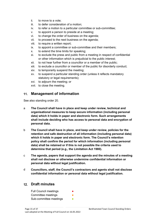- ii. to move to a vote;
- iii. to defer consideration of a motion;
- iv. to refer a motion to a particular committee or sub-committee;
- v. to appoint a person to preside at a meeting;
- vi. to change the order of business on the agenda;
- vii. to proceed to the next business on the agenda;
- viii. to require a written report;
- ix. to appoint a committee or sub-committee and their members;
- x. to extend the time limits for speaking;
- xi. to exclude the press and public from a meeting in respect of confidential or other information which is prejudicial to the public interest;
- xii. to not hear further from a councillor or a member of the public;
- xiii. to exclude a councillor or member of the public for disorderly conduct;
- xiv. to temporarily suspend the meeting;
- xv. to suspend a particular standing order (unless it reflects mandatory statutory or legal requirements);
- xvi. to adjourn the meeting; or
- xvii. to close the meeting.

#### <span id="page-14-0"></span>**Management of information**  $11.$

See also standing order 20.

- a **The Council shall have in place and keep under review, technical and organisational measures to keep secure information (including personal data) which it holds in paper and electronic form. Such arrangements shall include deciding who has access to personal data and encryption of personal data.**
- b **The Council shall have in place, and keep under review, policies for the retention and safe destruction of all information (including personal data) which it holds in paper and electronic form. The Council's retention policy shall confirm the period for which information (including personal data) shall be retained or if this is not possible the criteria used to determine that period (e.g., the Limitation Act 1980).**
- c **The agenda, papers that support the agenda and the minutes of a meeting shall not disclose or otherwise undermine confidential information or personal data without legal justification.**
- d **Councillors, staff, the Council's contractors and agents shall not disclose confidential information or personal data without legal justification.**

## <span id="page-14-1"></span>**Draft minutes**

Full Council meetings Committee meetings Sub-committee meetings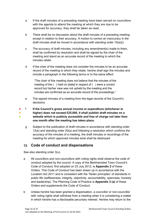- a If the draft minutes of a preceding meeting have been served on councillors with the agenda to attend the meeting at which they are due to be approved for accuracy, they shall be taken as read.
- b There shall be no discussion about the draft minutes of a preceding meeting except in relation to their accuracy. A motion to correct an inaccuracy in the draft minutes shall be moved in accordance with standing order 10(a)(i).
- c The accuracy of draft minutes, including any amendment(s) made to them, shall be confirmed by resolution and shall be signed by the chair of the meeting and stand as an accurate record of the meeting to which the minutes relate.
- d If the chair of the meeting does not consider the minutes to be an accurate record of the meeting to which they relate, he/she shall sign the minutes and include a paragraph in the following terms or to the same effect:

"The chair of this meeting does not believe that the minutes of the meeting of the () held on [date] in respect of () were a correct record but his/her view was not upheld by the meeting and the minutes are confirmed as an accurate record of the proceedings."

- e The signed minutes of a meeting form the legal records of the Council's decisions.
- 。<br>● ● ● f **If the Council's gross annual income or expenditure (whichever is higher) does not exceed £25,000, it shall publish draft minutes on a website which is publicly accessible and free of charge not later than one month after the meeting has taken place.**
	- g Subject to the publication of draft minutes in accordance with standing order 12(e) and standing order 20(a) and following a resolution which confirms the accuracy of the minutes of a meeting, the draft minutes or recordings of the meeting for which approved minutes exist shall be destroyed.

## <span id="page-15-0"></span>**Code of conduct and dispensations**

See also standing order 3(u).

- a All councillors and non-councillors with voting rights shall observe the code of conduct adopted by the council. A copy of the Berkhamsted Town Council's Code of Conduct, first adopted on 23 July 2012, is **Appendix 2** of these Orders. This Code of Conduct has been drawn up in accordance with the Localism Act 2011 and is consistent with the "Nolan principles" of standards in public life (selflessness, integrity, objectivity, accountability, openness, honesty and leadership). The Planning Code of Practice is **Appendix 3 (a)** of these Orders and supplements the Code of Conduct.
- b Unless he/she has been granted a dispensation, a councillor or non-councillor with voting rights shall withdraw from a meeting when it is considering a matter in which he/she has a disclosable pecuniary interest. He/she may return to the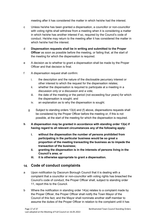meeting after it has considered the matter in which he/she had the interest.

- c Unless he/she has been granted a dispensation, a councillor or non-councillor with voting rights shall withdraw from a meeting when it is considering a matter in which he/she has another interest if so, required by the Council's code of conduct. He/she may return to the meeting after it has considered the matter in which he/she had the interest
- d **Dispensation requests shall be in writing and submitted to the Proper Officer** as soon as possible before the meeting, or failing that, at the start of the meeting for which the dispensation is required.
- e A decision as to whether to grant a dispensation shall be made by the Proper Officer and that decision is final.
- f A dispensation request shall confirm:
	- i. the description and the nature of the disclosable pecuniary interest or other interest to which the request for the dispensation relates;
	- ii. whether the dispensation is required to participate at a meeting in a discussion only or a discussion and a vote;
	- iii. the date of the meeting or the period (not exceeding four years) for which the dispensation is sought; and
	- iv. an explanation as to why the dispensation is sought.
	- g Subject to standing orders 13(d) and (f) above, dispensations requests shall be considered by the Proper Officer before the meeting or, if this is not possible, at the start of the meeting for which the dispensation is required.
- **h A dispensation may be granted in accordance with standing order 13(e) if having regard to all relevant circumstances any of the following apply:**
	- **i. without the dispensation the number of persons prohibited from participating in the particular business would be so great a proportion of the meeting transacting the business as to impede the transaction of the business;**
	- **ii. granting the dispensation is in the interests of persons living in the Council's area; or**
	- **iii. it is otherwise appropriate to grant a dispensation.**

## <span id="page-16-0"></span>**Code of conduct complaints**

- a Upon notification by Dacorum Borough Council that it is dealing with a complaint that a councillor or non-councillor with voting rights has breached the Council's code of conduct, the Proper Officer shall, subject to standing order 11, report this to the Council.
- b Where the notification in standing order 14(a) relates to a complaint made by the Proper Officer, the Proper Officer shall notify the Town Mayor of the Council of this fact, and the Mayor shall nominate another staff member to assume the duties of the Proper Officer in relation to the complaint until it has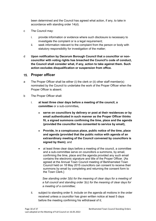been determined and the Council has agreed what action, if any, to take in accordance with standing order 14(d).

- c The Council may:
	- i. provide information or evidence where such disclosure is necessary to investigate the complaint or is a legal requirement;
	- ii. seek information relevant to the complaint from the person or body with statutory responsibility for investigation of the matter;
- d **Upon notification by Dacorum Borough Council that a councillor or noncouncillor with voting rights has breached the Council's code of conduct, the Council shall consider what, if any, action to take against them. Such action excludes disqualification or suspension from office.**

## <span id="page-17-0"></span>**Proper officer**

- a The Proper Officer shall be either (i) the clerk or (ii) other staff member(s) nominated by the Council to undertake the work of the Proper Officer when the Proper Officer is absent.
- b The Proper Officer shall:
	- i. **at least three clear days before a meeting of the council, a committee** or a sub-committee**,**
		- **serve on councillors by delivery or post at their residences or by email authenticated in such manner as the Proper Officer thinks fit, a signed summons confirming the time, place and the agenda (provided the councillor has consented to service by email),**
		- **Provide, in a conspicuous place, public notice of the time, place and agenda (provided that the public notice with agenda of an extraordinary meeting of the Council convened by councillors is signed by them);** and
		- at least three clear days before a meeting of the council, a committee and a sub-committee serve on councillors a summons, by email, confirming the time, place and the agenda provided any such email contains the electronic signature and title of the Proper Officer. {As agreed at the Annual Town Council meeting of Berkhamsted Town Council held on 18 May 2015 councillors can consent to receive their summons by email by completing and returning the consent form to the Town Clerk.}

*See standing order 3(b) for the meaning of clear days for a meeting of a full council and standing order 3(c) for the meaning of clear days for a meeting of a committee;*

ii. subject to standing order 9, include on the agenda all motions in the order received unless a councillor has given written notice at least 5 days before the meeting confirming his withdrawal of it;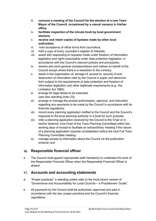- iii. **convene a meeting of the Council for the election of a new Town Mayor of the Council, occasioned by a casual vacancy in his/her office;**
- iv. **facilitate inspection of the minute book by local government electors;**
- v. **receive and retain copies of byelaws made by other local authorities;**
- vi. hold acceptance of office forms from councillors;
- vii. hold a copy of every councillor's register of interests;
- viii. assist with responding to requests made under freedom of information legislation and rights exercisable under data protection legislation, in accordance with the Council's relevant policies and procedures;
- ix. receive and send general correspondence and notices on behalf of the Council except where there is a resolution to the contrary;
- x. assist in the organisation of, storage of, access to, security of and destruction of information held by the Council in paper and electronic form subject to the requirements of data protection and freedom of information legislation and other legitimate requirements (e.g., the Limitation Act 1980);
- xi. arrange for legal deeds to be executed; (*see also standing order 23);*
- xii. arrange or manage the prompt authorisation, approval, and instruction regarding any payments to be made by the Council in accordance with its financial regulations;
- xiii. record every planning application notified to the Council and the Council's response to the local planning authority in a book for such purpose;
- xiv. refer a planning application received by the Council to the Chair or in his/her absence Vice-Chair of the Town Planning Committee] within two working days of receipt to facilitate an extraordinary meeting if the nature of a planning application requires consideration before the next Full Town Planning Committee meeting;
- xv. manage access to information about the Council via the publication scheme; and

#### <span id="page-18-0"></span>**Responsible financial officer**   $16.$

a The Council shall appoint appropriate staff member(s) to undertake the work of the Responsible Financial Officer when the Responsible Financial Officer is absent.

## <span id="page-18-1"></span>**Accounts and accounting statements**

- a "Proper practices" in standing orders refer to the most recent version of "Governance and Accountability for Local Councils – a Practitioners' Guide".
- b All payments by the Council shall be authorised, approved and paid in accordance with the law, proper practices and the Council's financial regulations.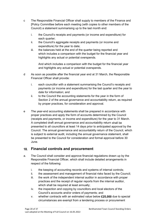- c The Responsible Financial Officer shall supply to members of the Finance and [Policy Committee before each meeting (with copies to other members of the Council) a statement summarising up to the last month end:
	- i. the Council's receipts and payments (or income and expenditure) for each quarter;
	- ii. the Council's aggregate receipts and payments (or income and expenditure) for the year to date;
	- iii. the balances held at the end of the quarter being reported and which includes a comparison with the budget for the financial year and highlights any actual or potential overspends.

And which includes a comparison with the budget for the financial year and highlights any actual or potential overspends.

- d As soon as possible after the financial year end at 31 March, the Responsible Financial Officer shall provide:
	- i. each councillor with a statement summarising the Council's receipts and payments (or income and expenditure) for the last quarter and the year to date for information; and
	- ii. to the Council the accounting statements for the year in the form of Section 2 of the annual governance and accountability return, as required by proper practices, for consideration and approval.
- e The year-end accounting statements shall be prepared in accordance with proper practices and apply the form of accounts determined by the Council (receipts and payments, or income and expenditure) for the year to 31 March. A completed draft annual governance and accountability return shall be presented to all councillors at least 14 days prior to anticipated approval by the Council. The annual governance and accountability return of the Council, which is subject to external audit, including the annual governance statement, shall be presented to the Council for consideration and formal approval before 30 June.

## <span id="page-19-0"></span>**Financial controls and procurement**

- a. The Council shall consider and approve financial regulations drawn up by the Responsible Financial Officer, which shall include detailed arrangements in respect of the following:
	- i. the keeping of accounting records and systems of internal controls;
	- ii. the assessment and management of financial risks faced by the Council;
	- iii. the work of the independent internal auditor in accordance with proper practices and the receipt of regular reports from the internal auditor, which shall be required at least annually;
	- iv. the inspection and copying by councillors and local electors of the Council's accounts and/or orders of payments; and
	- v. whether contracts with an estimated value below **£25,000** due to special circumstances are exempt from a tendering process or procurement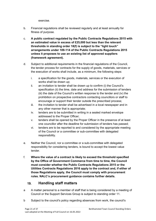exercise.

- b. Financial regulations shall be reviewed regularly and at least annually for fitness of purpose.
- c. **A public contract regulated by the Public Contracts Regulations 2015 with an estimated value in excess of £25,000 but less than the relevant thresholds in standing order 18(f) is subject to the "light touch" arrangements under 109-114 of the Public Contracts Regulations 2015 unless it proposes to use an existing list of approved suppliers (framework agreement).**
- d. Subject to additional requirements in the financial regulations of the Council, the tender process for contracts for the supply of goods, materials, services or the execution of works shall include, as a minimum, the following steps:
	- i. a specification for the goods, materials, services or the execution of works shall be drawn up;
	- ii. an invitation to tender shall be drawn up to confirm (i) the Council's specification (ii) the time, date and address for the submission of tenders (iii) the date of the Council's written response to the tender and (iv) the prohibition on prospective contractors contacting councillors or staff to encourage or support their tender outside the prescribed process;
	- iii. the invitation to tender shall be advertised in a local newspaper and in any other manner that is appropriate;
	- iv. tenders are to be submitted in writing in a sealed marked envelope addressed to the Proper Officer;
	- v. tenders shall be opened by the Proper Officer in the presence of at least one councillor after the deadline for submission of tenders has passed;
	- vi. tenders are to be reported to and considered by the appropriate meeting of the Council or a committee or sub-committee with delegated responsibility.
- e. Neither the Council, nor a committee or a sub-committee with delegated responsibility for considering tenders, is bound to accept the lowest value tender.
- f. **Where the value of a contract is likely to exceed the threshold specified by the Office of Government Commerce from time to time, the Council must consider whether the Public Contracts Regulations 2015 or the Utilities Contracts Regulations 2016 apply to the contract and, if either of those Regulations apply, the Council must comply with procurement rules. NALC's procurement guidance contains further details.**

#### <span id="page-20-0"></span> $19<sub>1</sub>$ **Handling staff matters**

- a A matter personal to a member of staff that is being considered by a meeting of Council or the Support Services Group is subject to standing order 11.
- b Subject to the council's policy regarding absences from work, the council's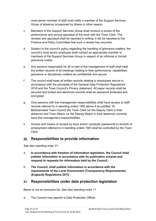most senior member of staff shall notify a member of the Support Services Group of absence occasioned by illness or other reason.

- c Members of the Support Services Group shall conduct a review of the performance and annual appraisal of the work with the Town Clerk. The reviews and appraisal shall be reported in writing. It will be reported to the Finance and Policy Committee that such a review has occurred.
- d Subject to the council's policy regarding the handling of grievance matters, the council's most senior employee shall contact an appropriate member or members of the Support Services Group in respect of an informal or formal grievance matter.
- e Any persons responsible for all or part of the management of staff shall treat the written records of all meetings relating to their performance, capabilities, grievance or disciplinary matters as confidential and secure.
- f The council shall keep all written records relating to employees secure in accordance with the principles of the General Data Protection Regulations 2018 and the Town Council's Privacy statement. All paper records shall be secured and locked and electronic records shall be password protected and encrypted.
- g Only persons with line management responsibilities shall have access to staff records referred to in standing orders 19(f) above if so justified. At Berkhamsted Town Council the Town Clerk (or the Deputy Clerk in their absence) and Town Mayor (or the Deputy Mayor in their absence) currently have line management responsibilities.
- h Access and means of access by keys and/or computer passwords to records of employment referred to in standing orders 19(f) shall be controlled by the Town Clerk.

## <span id="page-21-0"></span>**Responsibilities to provide information**

See also standing order 21.

- a **In accordance with freedom of information legislation, the Council shall publish information in accordance with its publication scheme and respond to requests for information held by the Council.**
- b. **The Council, shall publish information in accordance with the requirements of the Local Government (Transparency Requirements) (England) Regulations 2015**.

#### <span id="page-21-1"></span> $21.$ **Responsibilities under data protection legislation**

Below is not an exclusive list. See also standing order 11.

a The Council may appoint a Data Protection Officer.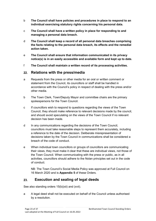- b **The Council shall have policies and procedures in place to respond to an individual exercising statutory rights concerning his personal data.**
- c **The Council shall have a written policy in place for responding to and managing a personal data breach.**
- d **The Council shall keep a record of all personal data breaches comprising the facts relating to the personal data breach, its effects and the remedial action taken.**
- e **The Council shall ensure that information communicated in its privacy notice(s) is in an easily accessible and available form and kept up to date.**
- f **The Council shall maintain a written record of its processing activities.**

## <span id="page-22-0"></span>**Relations with the press/media**

- a Requests from the press or other media for an oral or written comment or statement from the Council, its councillors or staff shall be handled in accordance with the Council's policy in respect of dealing with the press and/or other media.
- b The Town Clerk, Town/Deputy Mayor and committee chairs are the primary spokespersons for the Town Council.
- c If councillors wish to respond to questions regarding the views of the Town Council, they should make reference to relevant decisions made by the council, and should avoid speculating on the views of the Town Council if no relevant decision has been made.
- d In any communications regarding the decisions of the Town Council, councillors must take reasonable steps to represent them accurately, including a reference to the date of the decision. Deliberate misrepresentation of decisions taken by the Town Council in communications shall be considered a breach of the code of conduct.
- e When individual town councillors or groups of councillors are communicating their views, they must make it clear that these are individual views, not those of the Town Council. When communicating with the press or public, as in all activities, councillors should adhere to the Nolan principles set out in the code of conduct.

NB: The Town Council's Social Media Policy was approved at Full Council on 16 March 2020 and is **Appendix 5** of these Orders.

#### <span id="page-22-1"></span>**Execution and sealing of legal deeds** 23

See also standing orders 15(b)(xii) and (xvii).

a A legal deed shall not be executed on behalf of the Council unless authorised by a resolution.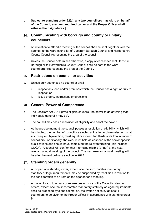b **Subject to standing order 22(a), any two councillors may sign, on behalf of the Council, any deed required by law and the Proper Officer shall witness their signatures.]** 

## <span id="page-23-0"></span>**Communicating with borough and county or unitary councillors**

- a An invitation to attend a meeting of the council shall be sent, together with the agenda, to the ward councillor of Dacorum Borough Council and Hertfordshire County Council representing the area of the council.
- b Unless the Council determines otherwise, a copy of each letter sent Dacorum Borough or to Hertfordshire County Council shall be sent to the ward councillor(s) representing the area of the Council.

## <span id="page-23-1"></span>**Restrictions on councillor activities**

- a. Unless duly authorised no councillor shall:
	- i. inspect any land and/or premises which the Council has a right or duty to inspect; or
	- ii. issue orders, instructions or directions.

#### <span id="page-23-2"></span>**General Power of Competence**   $26.$

- a The Localism Act 2011 gives eligible councils "the power to do anything that individuals generally may do".
- b The council may pass a resolution of eligibility and adopt the power.
- c At the precise moment the council passes a resolution of eligibility, which will be minuted, the number of councillors elected at the last ordinary election, or at a subsequent by-election, must equal or exceed two thirds of its total number of councillors. Additionally, the clerk must hold at least one of the sector specific qualifications and should have completed the relevant training (this includes CiLCA). A council will confirm that it remains eligible (or not) at the next relevant annual meeting of the council. The next relevant annual meeting will be after the next ordinary election in 2023.

## <span id="page-23-3"></span>**Standing orders generally**

- a All or part of a standing order, except one that incorporates mandatory statutory or legal requirements, may be suspended by resolution in relation to the consideration of an item on the agenda for a meeting.
- b A motion to add to or vary or revoke one or more of the Council's standing orders, except one that incorporates mandatory statutory or legal requirements, shall be proposed by a special motion, the written notice by at least 4 councillors to be given to the Proper Officer in accordance with standing order 9.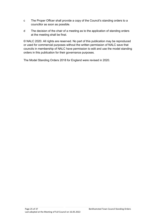- c The Proper Officer shall provide a copy of the Council's standing orders to a councillor as soon as possible.
- d The decision of the chair of a meeting as to the application of standing orders at the meeting shall be final.

© NALC 2020. All rights are reserved. No part of this publication may be reproduced or used for commercial purposes without the written permission of NALC save that councils in membership of NALC have permission to edit and use the model standing orders in this publication for their governance purposes.

The Model Standing Orders 2018 for England were revised in 2020.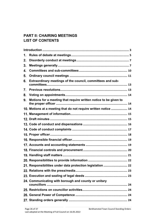## **PART II: CHAIRING MEETINGS LIST OF CONTENTS**

| 1. |                                                                  |  |
|----|------------------------------------------------------------------|--|
| 2. |                                                                  |  |
| 3. |                                                                  |  |
| 4. |                                                                  |  |
| 5. |                                                                  |  |
| 6. | Extraordinary meetings of the council, committees and sub-       |  |
| 7. |                                                                  |  |
| 8. |                                                                  |  |
| 9. | Motions for a meeting that require written notice to be given to |  |
|    | 10. Motions at a meeting that do not require written notice  14  |  |
|    |                                                                  |  |
|    |                                                                  |  |
|    |                                                                  |  |
|    |                                                                  |  |
|    |                                                                  |  |
|    |                                                                  |  |
|    |                                                                  |  |
|    |                                                                  |  |
|    |                                                                  |  |
|    |                                                                  |  |
|    | 21. Responsibilities under data protection legislation  22       |  |
|    |                                                                  |  |
|    |                                                                  |  |
|    | 24. Communicating with borough and county or unitary             |  |
|    |                                                                  |  |
|    |                                                                  |  |
|    |                                                                  |  |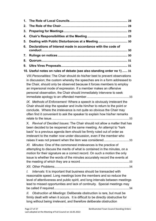| 1.       |                                                                                                                                                                                                                                                                                                                                                                                                                                                                                                                                                                                                                                                                                |
|----------|--------------------------------------------------------------------------------------------------------------------------------------------------------------------------------------------------------------------------------------------------------------------------------------------------------------------------------------------------------------------------------------------------------------------------------------------------------------------------------------------------------------------------------------------------------------------------------------------------------------------------------------------------------------------------------|
| 2.       |                                                                                                                                                                                                                                                                                                                                                                                                                                                                                                                                                                                                                                                                                |
| 3.       |                                                                                                                                                                                                                                                                                                                                                                                                                                                                                                                                                                                                                                                                                |
| 4.       |                                                                                                                                                                                                                                                                                                                                                                                                                                                                                                                                                                                                                                                                                |
| 5.       | Dealing with Public Disturbances at a Meeting  30                                                                                                                                                                                                                                                                                                                                                                                                                                                                                                                                                                                                                              |
| 6.       | Declarations of Interest made in accordance with the code of                                                                                                                                                                                                                                                                                                                                                                                                                                                                                                                                                                                                                   |
| 7.       |                                                                                                                                                                                                                                                                                                                                                                                                                                                                                                                                                                                                                                                                                |
| 8.       |                                                                                                                                                                                                                                                                                                                                                                                                                                                                                                                                                                                                                                                                                |
| 9.       |                                                                                                                                                                                                                                                                                                                                                                                                                                                                                                                                                                                                                                                                                |
|          | 10. Useful notes on rules of debate (see also standing order no 1)  31                                                                                                                                                                                                                                                                                                                                                                                                                                                                                                                                                                                                         |
|          | VIII. Personalities: The Chair should do his/her best to prevent observations<br>in discussion; the custom whereby the speeches are in a form addressed to<br>the Chair, should only be observed because it forces members to employ<br>an impersonal mode of expression. If a member makes an offensive<br>personal observation, the Chair should immediately intervene to seek                                                                                                                                                                                                                                                                                               |
|          | IX. Methods of Enforcement: Where a speech is obviously irrelevant the<br>Chair should stop the speaker and invite him/her to return to the point or<br>conclude. Where the irrelevance is not quite so obvious the Chair may<br>often find it convenient to ask the speaker to explain how his/her remarks                                                                                                                                                                                                                                                                                                                                                                    |
|          | X. Revival of Decided Issues: The Chair should not allow a matter that has<br>been decided to be reopened at the same meeting. An attempt to "hark<br>back" to a previous agenda item should be firmly ruled out of order as<br>irrelevant to the matter now under discussion, even if the member who<br>raises it was not present when the item was considered33<br>XI. Minutes: One of the commonest irrelevances is the practice of<br>attempting to discuss the merits of what is contained in the minutes, on a<br>motion for their signature as a correct record. On such a motion the only<br>issue is whether the words of the minutes accurately record the events at |
| I.<br>Ш. | Intervals: It is important that business should be transacted with<br>reasonable speed. Long meetings bore the members and so reduce the<br>level of attentiveness and public spirit, and long intervals between meetings<br>lead to missed opportunities and lack of continuity. Special meetings may<br>Obstruction at Meetings: Deliberate obstruction is rare, but must be<br>firmly dealt with when it occurs. It is difficult to be directly obstructive for<br>long without being irrelevant, and therefore deliberate obstruction                                                                                                                                      |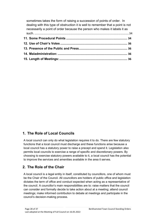| sometimes takes the form of raising a succession of points of order. In<br>dealing with this type of obstruction it is well to remember that a point is not |  |
|-------------------------------------------------------------------------------------------------------------------------------------------------------------|--|
| necessarily a point of order because the person who makes it labels it as                                                                                   |  |
|                                                                                                                                                             |  |
|                                                                                                                                                             |  |
|                                                                                                                                                             |  |
|                                                                                                                                                             |  |
|                                                                                                                                                             |  |
|                                                                                                                                                             |  |

## <span id="page-27-0"></span>**1. The Role of Local Councils**

A local council can only do what legislation requires it to do. There are few statutory functions that a local council must discharge and these functions arise because a local council has a statutory power to raise a precept and spend it. Legislation also permits local councils to exercise a range of specific and discretionary powers. By choosing to exercise statutory powers available to it, a local council has the potential to improve the services and amenities available in the area it serves.

## <span id="page-27-1"></span>**2. The Role of the Chair**

A local council is a legal entity in itself, constituted by councillors, one of whom must be the Chair of the Council. All councillors are holders of public office and legislation dictates the term of office and conduct expected when acting as a representative of the council. A councillor's main responsibilities are to: raise matters that the council can consider and formally decide to take action about at a meeting; attend council meetings; make informed contribution to debate at meetings and participate in the council's decision-making process.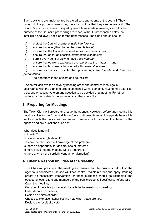Such decisions are implemented by the officers and agents of the council. They cannot do this properly unless they have instructions that they can understand. The Council's instructions are conveyed by resolutions made at meetings and it is the purpose of the Council's proceedings to reach, without unreasonable delay, an intelligible and lawful decision for the right reasons*.* The Chair should seek to:

- (a) protect the Council against *outside interference;*
- (b) ensure that everything to be discussed is *lawful;*
- (c) ensure that the Council is invited to deal with *clear issues;*
- (d) ensure that as far as possible *information is complete;*
- (e) permit every point of view to have a *fair hearing;*
- (f) ensure that opinions expressed are *relevant* to the matter in hand;
- (g) ensure that business is transacted with *reasonable speed;*

(h) ensure as far as possible that proceedings are *friendly* and *free from personalities;*

(i) co-operate with the officers and councillors.

He/she will achieve the above by keeping order and control at meetings in accordance with the standing orders contained within standing. He/she may exercise a second or casting vote on any question to be decided at a meeting. For other matters his/her status is the same as any other councillor.

## <span id="page-28-0"></span>**3. Preparing for Meetings**

The Town Clerk will prepare and issue the agenda. However, before any meeting it is good practice for the Chair and Town Clerk to discuss items on the agenda before it is sent out with the notice and summons. He/she should consider the items on the agenda and ask questions such as: -

What does it mean? Is it lawful? Do we know enough about it? Has any member special knowledge of this problem? Is there an opportunity for declarations of interest? Is there a risk that the meeting will be inquorate? Is there any risk of disorderly conduct or disruption?

## <span id="page-28-1"></span>**4. Chair's Responsibilities at the Meeting**

The Chair will preside at the meeting and ensure that the business set out on the agenda is considered. He/she will keep control, maintain order and apply standing orders as necessary. Intervention for these purposes should be respected and obeyed by councillors and members of the public present. Specifically, he/she will: Open the meeting;

Consider if there is a procedural obstacle to the meeting proceeding;

Order debate on motions;

Decide on points of order;

Choose to exercise his/her casting vote when votes are tied;

Declare the result of a vote;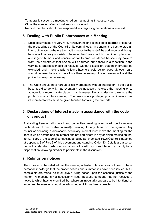Temporarily suspend a meeting or adjourn a meeting if necessary and Close the meeting after its business is concluded; Remind members about their responsibilities regarding declarations of interest.

## <span id="page-29-0"></span>**5. Dealing with Public Disturbances at a Meeting**

- i. Such occurrences are very rare. However, no one is entitled to interrupt or obstruct the proceedings of the Council or its committees. In general it is best to stop an interruption at once before the habit spreads to the rest of the audience; and though he/she will naturally not wish to be rude, the Chair should cut an interrupter short, and if good humour and conciliation fail to produce silence he/she may have to warn the perpetrator that he/she will be turned out if there is a repetition; if the warning is ignored it should be resolved, without discussion, that the interrupter be excluded, and if he/she fails to leave he/she should be removed although care should be taken to use no more force than necessary. It is not essential to call the police, but may be necessary.
- ii. The Chair should never argue or allow argument with an interrupter. If the public becomes disorderly it may eventually be necessary to close the meeting or to adjourn to a more private place. It is, however, illegal to decide to exclude the public from any future meeting. The press is in a privileged position inasmuch as its representatives must be given facilities for taking their reports.

## <span id="page-29-1"></span>**6. Declarations of Interest made in accordance with the code of conduct**

A standing item on all council and committee meeting agenda will be to receive declarations of disclosable interest(s) relating to any items on the agenda. Any councillor declaring a disclosable pecuniary interest must leave the meeting for the item in which he/she has an interest and not participate in any decision making on that item. A copy of the code of conduct adopted by Berkhamsted Town Council is attached at appendix 3 of Part 2 of this document and standing Order 13. Details are also set out in this standing order on how a councillor with such an interest can apply for a dispensation, allowing him/her to participate in the discussion.

## <span id="page-29-2"></span>**7. Rulings on notices**

The Chair must be satisfied that the meeting is lawful. He/she does not need to have personal knowledge that the proper notices and summonses have been issued, but if complaints are made, he must give a ruling based upon the essential justice of the matter. A meeting is not necessarily illegal because someone has not received a notice to which he/she is entitled, but where an irregularity appears to be intentional or important the meeting should be adjourned until it has been corrected.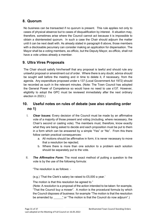## <span id="page-30-0"></span>**8. Quorum**

No business can be transacted if no quorum is present. This rule applies not only to cases of physical absence but to cases of disqualification by interest. A situation may, therefore, sometimes arise where the Council cannot act because it is impossible to obtain a disinterested quorum. In such a case the Chair should adjourn the matter until it can be next dealt with. As already stated in paragraph 6 above, those members with a disclosable pecuniary can consider making an application for dispensation. The Mayor shall be a voting members, ex-officio, but the Deputy Mayor, ex-officio, shall not have a vote unless already a member.

## <span id="page-30-1"></span>**9. Ultra Vires Proposals**

The Chair should satisfy him/herself that any proposal is lawful and should rule any unlawful proposal or amendment out of order. Where there is any doubt, advice should be sought well before the meeting and in time to delete it, if necessary, from the agenda. Any expenditure proposed under s 137 (Local Government Act 1972) should be recorded as such in the relevant minutes. (Note: The Town Council has adopted the General Power of Competence so would have no need to use s137. However, eligibility to adopt the GPC must be reviewed immediately after the next ordinary election in 2023.)

## <span id="page-30-2"></span>**10. Useful notes on rules of debate (see also standing order no 1)**

- I. *Clear Issues:* Every decision of the Council must be made by an affirmative vote of a majority of those present and voting (including, where necessary, the Chair's second or casting vote). The members must, therefore, know exactly what they are being asked to decide and each proposition must be put to them in a form which can be answered by a simple "Yes" or "No". From this there follow certain practical consequences:
	- a. All motions should be affirmative in form; it is never necessary to move that a resolution be rejected;
	- b. Where there is more than one solution to a problem each solution should be separately put to the vote.
- II. *The Affirmative Form***:** The most exact method of putting a question to the vote is by the use of the following formula:

"The resolution is as follows: -

(e.g.) 'That the Clerk's salary be raised to £5,000 a year.'

The motion is that this resolution be agreed to."

(Note: A *resolution* is a proposal of the action intended to be taken: for example, "That the Council buy a mower". A *motion* is the procedural formula by which the Council disposes of business: for example "The motion is that the resolution be amended by " or "The motion is that the Council do now adjourn".)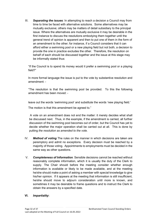III. *Separating the issues*: In attempting to reach a decision a Council may from time to time be faced with alternative solutions. Some alternatives may be mutually exclusive; others may be matters of detail subsidiary to the principal issue. Where the alternatives are mutually exclusive it may be desirable in the first instance to discuss the resolutions embodying them together until the general trend of opinion is apparent and then to put one of them in the form of an amendment to the other; for instance, if a Council considers that it can afford either a swimming pool or a new playing field but not both, a decision to provide the one in practice excludes the other. Therefore, the resolution on behalf of each should be discussed together and the issue at this stage may be informally stated thus:

"If the Council is to spend its money would it prefer a swimming pool or a playing field?"

In more formal language the issue is put to the vote by substantive resolution and amendment: -

"The resolution is that the swimming pool be provided. To this the following amendment has been moved: -

leave out the words 'swimming pool' and substitute the words 'new playing field.'

The motion is that this amendment be agreed to."

A vote on an amendment does not end the matter: it merely decides what shall be discussed next. Thus, in the example, if the amendment is carried, all further discussion of the swimming pool becomes out of order, but the Council has yet to decide whether the major operation shall be carried out at all. This is done by putting *the resolution as amended to the vote.* 

- IV. *Method of voting* The rules on the manner in which decisions are taken are peremptory and admit no exceptions. Every decision must be reached by a majority of those voting. Appointments to employments must be decided in the same way as other questions.
- V. *Completeness of Information.* Sensible decisions cannot be reached without reasonably complete information, which it is usually the duty of the Clerk to supply. The Chair should before the meeting consider whether enough information is available or likely to be made available, and at the meeting he/she should make a point of asking a member with special knowledge to give his/her opinion. If it appears at the meeting that information is still insufficient, he/she should move to adjourn consideration until more is known, and sometimes it may be desirable to frame questions and to instruct the Clerk to obtain the answers by a specified date.

### **VI.** *Impartiality***:**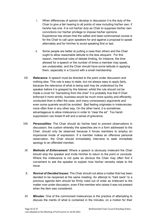- i. When differences of opinion develop in discussion it is the duty of the Chair to give a fair hearing to all points of view including his/her own, if he/she has one. It is not his/her duty as Chair to suppress his/her own convictions nor his/her privilege to impose his/her opinions. Experience has shown that the safest and least controversial course is for the Chair to call upon speakers for and against a proposal to speak alternately and for him/her to avoid speaking first or last.
- ii. Some people are better at putting a case than others and the Chair ought to allow reasonable latitude to the less eloquent. For this reason, mechanical rules of debate limiting, for instance, the time allowed for a speech or the number of times a member may speak, are undesirable, and the Chair should have some latitude in applying them, especially in a Council with a small membership.
- *VII. Relevance:* A speech must be directed to the point under discussion and nothing else. This rule is easy to state, but not always easy to apply fairly, because the relevance of what is being said may be understood by the speaker before it is grasped by the listener; whilst the rule should not be made a cover for "barracking from the chair" it is probably true that if Chair enforced it more strictly, business would be much more quickly and efficiently conducted than is often the case, and many unnecessary arguments and even some quarrels would be avoided. Bad feeling originates in irrelevancies more often than in any other way. On the other hand, it is sometimes advantageous to allow irrelevance in order to "clear the air". Too harsh suppression can breed ill will and a sense of grievance.
- <span id="page-32-0"></span>*VIII. Personalities:* The Chair should do his/her best to prevent observations in discussion; the custom whereby the speeches are in a form addressed to the Chair, should only be observed because it forces members to employ an impersonal mode of expression. If a member makes an offensive personal observation, the Chair should immediately intervene to seek immediate apology to an offended member**.**
- <span id="page-32-1"></span>*IX. Methods of Enforcement:* Where a speech is obviously irrelevant the Chair should stop the speaker and invite him/her to return to the point or conclude. Where the irrelevance is not quite so obvious the Chair may often find it convenient to ask the speaker to explain how his/her remarks relate to the issue.
- <span id="page-32-2"></span>X. *Revival of Decided Issues:* The Chair should not allow a matter that has been decided to be reopened at the same meeting. An attempt to "hark back" to a previous agenda item should be firmly ruled out of order as irrelevant to the matter *now* under discussion, even if the member who raises it was not present when the item was considered
- <span id="page-32-3"></span>*XI. Minutes:* One of the commonest irrelevances is the practice of attempting to discuss the merits of what is contained in the minutes, on a motion for their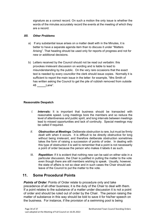signature as a correct record. On such a motion the only issue is whether the words of the minutes accurately record the events at the meeting of which they are a record.

## <span id="page-33-0"></span>*XII. Other Problems*

- a) If any substantial issue arises on a matter dealt with in the Minutes, it is better to have a separate agenda item than to discuss it under "Matters Arising". That heading should be used only for reports of progress and not for new or additional decisions.
- b) Letters received by the Council should not be read out verbatim: this provokes irrelevant discussion on wording and is liable to lead to misunderstanding by the public. On the very rare occasions that the exact text is needed by every councillor the clerk should issue copies. Normally it is sufficient to report the main issue in the letter: for example, "Mrs Smith of has written asking the Council to get the pile of rubbish removed from outside 48 Lane".

## **Reasonable Despatch**

- <span id="page-33-1"></span>*I. Intervals:* It is important that business should be transacted with reasonable speed. Long meetings bore the members and so reduce the level of attentiveness and public spirit, and long intervals between meetings lead to missed opportunities and lack of continuity. Special meetings may be called if required.
- <span id="page-33-2"></span>*II. Obstruction at Meetings*: Deliberate obstruction is rare, but must be firmly dealt with when it occurs. It is difficult to be directly obstructive for long without being irrelevant, and therefore deliberate obstruction sometimes takes the form of raising a succession of points of order. In dealing with this type of obstruction it is well to remember that a point is not necessarily a point of order because the person who makes it labels it as such.
- III. *Repetition***:** If it is evident that nothing new can be said on either side in a particular discussion, the Chair is justified in putting the matter to the vote even though there are still members wishing to speak. Usually, however, the state of affairs is not so clear and in such cases the Chair should ask leave of the Council to put the matter to the vote.

## <span id="page-33-3"></span>**11. Some Procedural Points**

**Points of Order**: Points of Order relate to procedure only and take precedence of all other business; it is the duty of the Chair to deal with them. If a point relates to the substance of a matter under discussion it is not a point of order and should be ruled out of order by the Chair. The person raising the matter of substance in this way should be told to save it for his/her speech on the business. For instance, if the provision of a swimming pool is being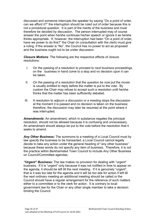discussed and someone interrupts the speaker by saying "On a point of order, can we afford it?" the interruption should be ruled out of order because this is not a procedural question. It is part of the merits of the business and must therefore be decided by discussion. The person interrupted may of course answer the point when he/she continues his/her speech or ignore it as he/she thinks appropriate. If, however, the interruption had been "On a point of order, have we power to do this?" the Chair (in consultation with the clerk) must give a ruling. If the answer is "No", the Council has no power to act as proposed and the business ought not to be under discussion.

*Closure Motions:* The following are the respective effects of closure resolutions:

- I. On the passing of a resolution to proceed to *next business* proceedings on the business in hand come to a stop and no decision upon it can be taken.
- II. On the passing of a resolution that the *question be now put* the mover is usually entitled to reply before the matter is put to the vote. By custom the Chair may refuse to accept such a resolution until he/she thinks that the matter has been sufficiently debated.
- III. A resolution to *adjourn a discussion or a meeting* stops the discussion at the moment it is passed and no decision is taken on the business; therefore, the discussion may later be resumed at the point where it was interrupted.

*Amendments***:** An amendment, which in substance negates the principal resolution, should not be allowed because it is confusing and unnecessary. An amendment should always be put to the vote before the resolution that it seeks to amend.

*Any Other Business:* The summons to a meeting of a Local Council must by law *specify* the business to be transacted; a Local Council cannot legally decide to take any action under the general heading of "any other business" because these words do not specify any item of business. Therefore, it is not the practice within Berkhamsted Town Council to include Any Other Business on Council/Committee agendas.

*"Urgent" Business:* The law makes no provision for dealing with "urgent" business. If it is "urgent" only because it was not notified in time to appear on the agenda, it should be left till the next meeting. If it is genuinely "urgent", that is it was too late for the agenda *and* it will be too late for action if left till the next ordinary meeting an additional meeting should be called *or* the Council should have a regular arrangement for the reference of such matters either to a committee or to the clerk for action. It is contrary to local government law for the Chair or any other single member to take a decision binding the Council.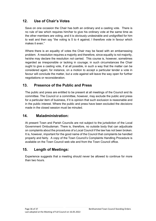## <span id="page-35-0"></span>**12. Use of Chair's Votes**

Save on one occasion the Chair has both an ordinary and a casting vote. There is no rule of law which requires him/her to give his ordinary vote at the same time as the other members are voting, and it is obviously undesirable and undignified for him to wait and then say "the voting is 5 to 4 against; I therefore vote in favour which makes it even."

Where there is an equality of votes the Chair may be faced with an embarrassing problem. A resolution requires a majority and therefore, since equality is not majority, he/she may declare the resolution *not* carried. This course is, however, sometimes regarded as irresponsible or lacking in courage; in such circumstances the Chair ought to give a casting vote, if at all possible, in such a way that the matter can be considered again; for instance, on a motion to accept a particular tender a vote in favour will conclude the matter, but a vote against will leave the way open for further negotiations or reconsideration.

## <span id="page-35-1"></span>**13. Presence of the Public and Press**

The public and press are entitled to be present at all meetings of the Council and its committee. The Council or a committee, however, may exclude the public and press for a particular item of business, if it is opinion that such exclusion is reasonable and in the public interest. Where the public and press have been excluded the *decisions* made in the closed session must be minuted.

## **14. Maladministration:**

<span id="page-35-2"></span>At present Town and Parish Councils are not subject to the jurisdiction of the Local Government Ombudsman. There is, therefore, no outside body that can adjudicate on complaints about the procedures of a Local Council if the law has not been broken. It is, however, important for the good name of the Council that complaints be handled properly and fairly. A copy of the Town Council's Complaints Handling Procedure is available on the Town Council web site and from the Town Council office.

## <span id="page-35-3"></span>**15. Length of Meetings:**

Experience suggests that a meeting should never be allowed to continue for more than two hours.